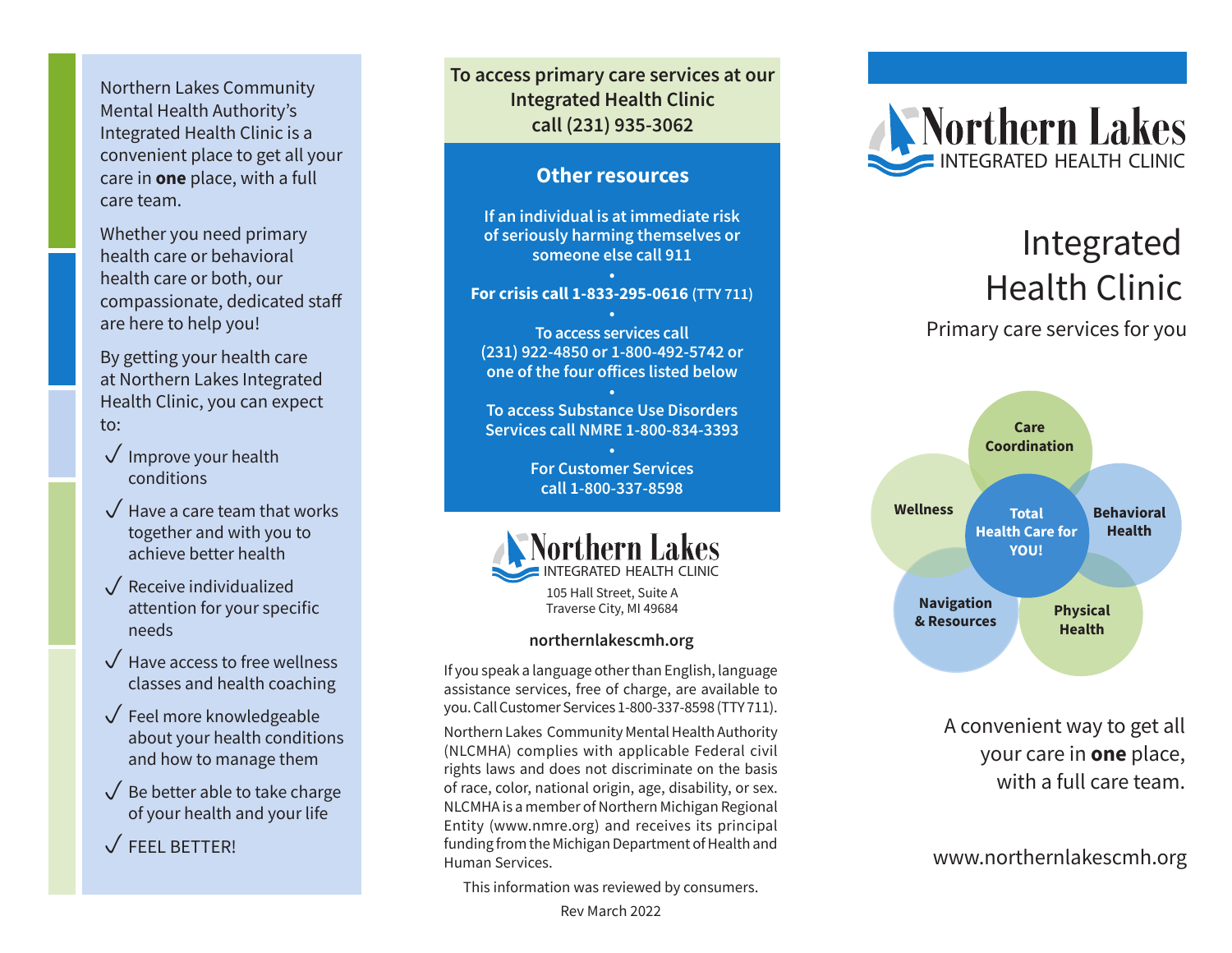Northern Lakes Community Mental Health Authority's Integrated Health Clinic is a convenient place to get all your care in **one** place, with a full care team.

Whether you need primary health care or behavioral health care or both, our compassionate, dedicated staff are here to help you!

By getting your health care at Northern Lakes Integrated Health Clinic, you can expect to:

- $\sqrt{}$  Improve your health conditions
- $\sqrt{\phantom{a}}$  Have a care team that works together and with you to achieve better health
- $\sqrt{\ }$  Receive individualized attention for your specific needs
- $\sqrt{\phantom{a}}$  Have access to free wellness classes and health coaching
- $\sqrt{}$  Feel more knowledgeable about your health conditions and how to manage them
- $\sqrt{\ }$  Be better able to take charge of your health and your life
- $\sqrt{r}$  FEEL BETTER!

**To access primary care services at our Integrated Health Clinic call (231) 935-3062**

#### **Other resources**

**If an individual is at immediate risk of seriously harming themselves or someone else call 911**

#### **• For crisis call 1-833-295-0616 (TTY 711)**

**• To access services call (231) 922-4850 or 1-800-492-5742 or one of the four offices listed below**

**• To access Substance Use Disorders Services call NMRE 1-800-834-3393**

> **• For Customer Services call 1-800-337-8598**



Traverse City, MI 49684

#### **northernlakescmh.org**

If you speak a language other than English, language assistance services, free of charge, are available to you. Call Customer Services 1-800-337-8598 (TTY 711).

Northern Lakes Community Mental Health Authority (NLCMHA) complies with applicable Federal civil rights laws and does not discriminate on the basis of race, color, national origin, age, disability, or sex. NLCMHA is a member of Northern Michigan Regional Entity (www.nmre.org) and receives its principal funding from the Michigan Department of Health and Human Services.

This information was reviewed by consumers.

Rev March 2022



# Integrated Health Clinic

## Primary care services for you



A convenient way to get all your care in **one** place, with a full care team.

www.northernlakescmh.org